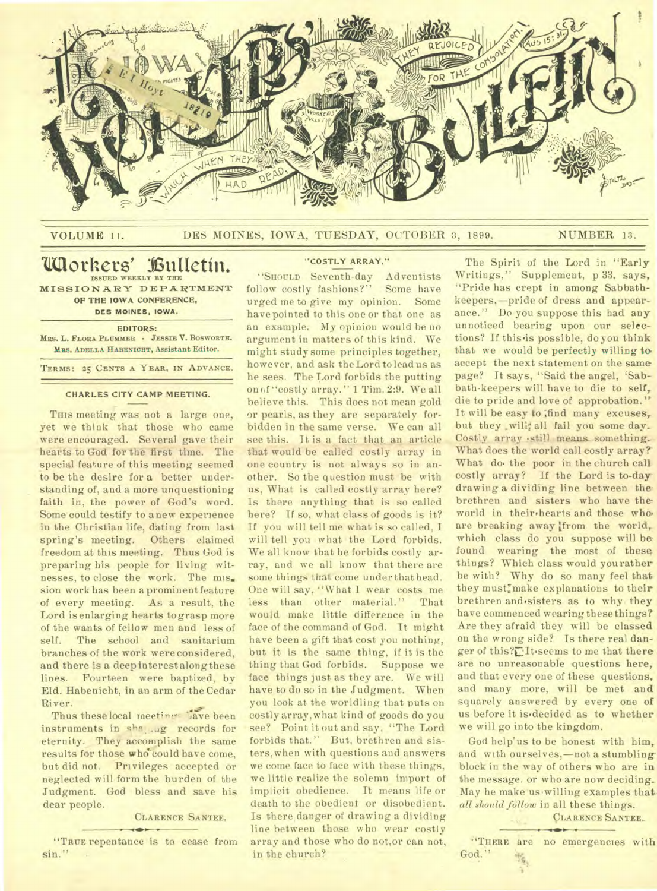

#### VOLUME 11. DES MOINES, IOWA, TUESDAY, OCTOBER 3, 1899. NUMBER 13.

# **'Mothers' ullietin. ISSUED WEEKLY BY** *THE*

**MISSIONARY DEPARTMENT OP THE IOWA CONFERENCE, DES MOINES, IOWA.** 

## **EDITORS:**

**MRS. L. FLORA PLUMMER - JESSIE V. BOSWORTH. MRS. ADELLA HABzwionT, Assistant Editor.** 

**TERMS: 25 CENTS A YEAR, IN ADVANCE.** 

## **CHARLES CITY CAMP MEETING.**

THIS meeting was not a large one, yet we think that those who came were encouraged. Several gave their hearts to God for the first time. The special feature of this meeting seemed to be the desire for a better understanding of, and a more unquestioning faith in, the power of God's word. Some could testify to anew experience in the Christian life, dating from last spring's meeting. Others claimed freedom at this meeting. Thus God is preparing his people for living witnesses, to close the work. The mis. sion work has been a prominent feature of every meeting. As a result, the Lord is enlarging hearts tograsp more of the wants of fellow men and less of self. The school and sanitarium branches of the work were considered, and there is a deep interestalong these lines. Fourteen were baptized, by Eld. Habenicht, in an arm of the Cedar River.

Thus these local meeting 'ave been instruments in sha, ...g records for eternity. They accomplish the same results for those who could have come, but did not. Privileges accepted or neglected will form the burden of the Judgment. God bless and save his dear people.

# **CLARENCE SANTEE.**

**"TRUE** repentance is to cease from sin."

## **"COSTLY ARRAY."**

"SHOULD Seventh-day Adventists follow costly fashions?" Some have urged me to give my opinion. Some have pointed to this one or that one as an example. My opinion would be no argument in matters of this kind. We might study some principles together, however, and ask the Lord to lead us as he sees. The Lord forbids the putting on of "costly array." 1 Tim. 2:9. We all believe this. This does not mean gold or pearls, as they are separately forbidden in the same verse. We can all see this. It is a fact that, an article that would be called costly array in one country is not always so in another. So the question must be with us, What is called costly array here? Is there anything that is so called here? If so, what class of goods is it? If you will tell me what is so called, I will tell you what the Lord forbids. We all know that he forbids costly array, and we all know that there are some things that come under that head. One will say, "What I wear costs me less than other material." That would make little difference in the face of the command of God. It might have been a gift that cost you nothing, but it is the same thing, if it is the thing that God forbids. Suppose we face things just as they are. We will have to do so in the Judgment. When you look at the worldling that puts on costly array,what kind of goods do you see? Point it out and say, "The Lord forbids that." But, brethren and sisters, when with questions and answers **we** come face to face with these things, we little realize the solemn import of implicit obedience. It means life or death to the obedient or disobedient. Is there danger of drawing a dividing line between those who wear costly array and those who do not,or can not, in the church?

The Spirit of the Lord in "Early Writings," Supplement, p 33. says, "Pride has crept in among Sabbathkeepers,—pride of dress and appearance." Do you suppose this had any unnoticed bearing upon our selections? If this is possible, do you think that we would be perfectly willing to accept the next statement on the same page? It says, "Said the angel, 'Sabbath-keepers will have to die to self, die to pride and love of approbation." It will be easy to ;find many excuses, but they will; all fail you some day. Costly array .still means something.. What does the world call costly array? What do the poor in the church call costly array? If the Lord is to-day drawing a dividing line between the. brethren and sisters who have the world in their.hearts and those who. are breaking away from the world, which class do you suppose will be found wearing the most of these things? Which class would you rather be with? Why do so many feel that they must" make explanations to their brethren and sisters as to why they have commenced wearing these things? Are they afraid they will be classed on the wrong side? Is there real danger of this?C:It.seems to me that there are no unreasonable questions here, and that every one of these questions, and many more, will be met and squarely answered by every one of us before it is decided as to whether we will go into the kingdom.

God help"us to be honest with him, and with ourselves,—not a stumbling block in the way of others who are in the message. or who are now deciding.. May he make us willing examples that *all should follow* in all these things.

**cLARENCE SANTEE..** 

**"THERE** are no emergencies with God."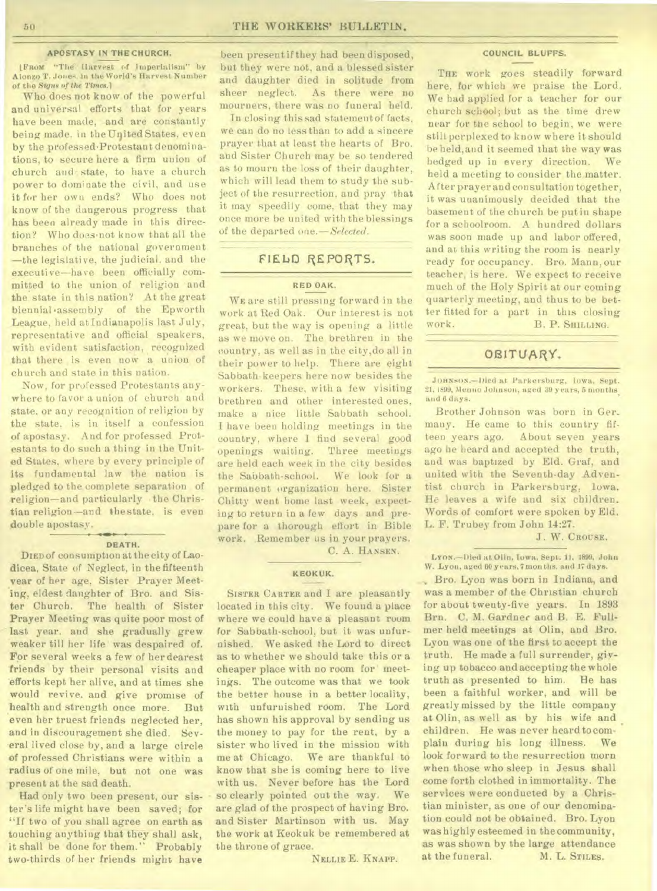#### **APOSTASY IN THE CHURCH.**

IFROM "The Harvest of Imperialism" by Alonzo T. Jones. In the World's Harvest Number of the *Sums of the Times.*]

Who does not know of the powerful and universal efforts that for years have been made, and are constantly being made. in the United States, even by the professed.Protestant denominations, to secure here a firm union of church and• state, to have a church power to dominate the civil, and use it for her own ends? Who does not know of the dangerous progress that has been already made in this direction? Who does•not know that all the branches of the national government —the legislative, the judicial. and the executive—have been officially committed to the union of religion and the state in this nation? At the great biennial .assembly of the Epworth \_League, held at Indianapolis last July, representative and official speakers, with evident satisfaction, recognized that there is even now a union of church and state in this nation.

Now, for professed Protestants anywhere to favor a union of church and state, or any recognition of religion by the state, is in itself a confession of apostasy. And for professed Protestants to do such a thing in the United States, where by every principle of its fundamental law the nation is pledged to the complete separation of religion—and particularly -the Christian religion--and thestate, is even double apostasy.

#### **DEATH.**

DIED of consumption at the city of Laodicea, State of Neglect, in the fifteenth year of her age, Sister Prayer Meeting, eldest daughter of Bro. and Sister Church. The health of Sister Prayer Meeting was quite poor most of last year. and she gradually grew weaker till her life was despaired of. For several weeks a few of her dearest friends by their personal visits and efforts kept her alive, and at times she would revive. and give promise of health and strength once more. But even her truest friends neglected her, and in discouragement she died. Several lived close by, and a large circle of professed Christians were within a radius of one mile, but not one was present at the sad death.

Had only two been present, our sister's life might have been saved; for "If two of you shall agree on earth as touching anything that they shall ask, it shall be done for them." Probably two-thirds of her friends might have

been present if they had been disposed, but they were not, and a blessed sister and daughter died in solitude from sheer neglect. As there were no mourners, there was no funeral held.

In closing this sad statement of facts, we can do no less than to add a sincere prayer that at least the hearts of Bro. and Sister Church may be so tendered as to mourn the loss of their daughter, which will lead them to study the subject of the resurrection, and pray that it may speedily come, that they may once more be united with the blessings of the departed one. *— Selected .* 

# **FlEbD REPORTS.**

## RED **OAK.**

WE are still pressing forward in the work at Red Oak. Our interest is not great, but the way is opening a little as we move on. The brethren in the country, as well as in the city,do all in their power to help. There are eight Sabbath-keepers here now besides the workers. These, with a few visiting brethren and other interested ones, make a nice little Sabbath school. I have been holding meetings in the country, where I find several good openings waiting. Three meetings are held each week in the city besides the Sabbath-school. We look for a permanent organization here. Sister Chitty went home last week, expecting to return in a few days and prepare for a thorough effort in Bible work. Remember us in your prayers.

C. A. HANSEN.

## **KEOKUK.**

SISTER CARTER and I are pleasantly located in this city. We found a place where we could have a pleasant room for Sabbath-school, but it was unfurnished. We asked the Lord to direct as to whether we should take this or a cheaper place with no room for meetings. The outcome was that we took the better house in a better locality, with unfurnished room. The Lord has shown his approval by sending us the money to pay for the rent, by a sister who lived in the mission with me at Chicago. We are thankful to know that she is coming here to live with us. Never before has the Lord so clearly pointed out the way. We are glad of the prospect of having Bro. and Sister Martinson with us. May the work at Keokuk be remembered at the throne of grace.

NELLIE E. KNAPP.

#### COUNCIL BLUFFS.

THE work goes steadily forward here, for which we praise the Lord. We had applied for a teacher for our church school; but as the time drew near for the school to begin, we were still perplexed to know where it should be held,and it seemed that the way was hedged up in every direction. We held a meeting to consider the matter. After prayer and consultation together, it was unanimously decided that the basement of the church be put in shape for a schoolroom. A hundred dollars was soon made up and labor offered, and at this writing the room is nearly ready for occupancy. Bro. Mann, our teacher, is here. We expect to receive much of the Holy Spirit at our coming quarterly meeting, and thus to be better fitted for a part in this closing work. B. P. SHILLING.

# OBITUARY.

JORNSON.-Dled at Parkersburg, Iowa, Sept. 21, 1899, Menuo Johnson, aged 39 y ears, 5 months<sub>,</sub><br>and 6 days.

Brother Johnson was born in Ger\_ many. He came to this country fifteen years ago. About seven years ago he heard and accepted the truth, and was baptized by Eld. Graf, and united with the Seventh-day Adventist church in Parkersburg, Iowa. He leaves a wife and six children. Words of comfort were spoken by Eld. L. F. Trubey from John 14:27.

J. W. CROUSE.

Lros.—Died at Olin, Iowa, Sept. 11. 1899, John W. Lyon, aged 60 years, 7 mon ths. and 17 days.

Bro. Lyon was born in Indiana, and was a member of the Christian church for about twenty-five years. In 1893 Brn. C. M. Gardner and B. E. Fullmer held meetings at Olin, and Bro. Lyon was one of the first to accept the truth. He made a full surrender, *giving* up tobacco and accepting the whole truth as presented to him. He has been a faithful worker, and will be greatly missed by the little company at Olin, as well as by his wife and children. He was never heard tocomplaiu during his long illness. We look forward to the resurrection morn when those who sleep in Jesus shall come forth clothed in immortality. The services were conducted by a Christian minister, as one of our denomination could not be obtained. Bro. Lyon was highly esteemed in the community, as was shown by the large attendance<br>at the funeral. M. L. STILES. at the funeral.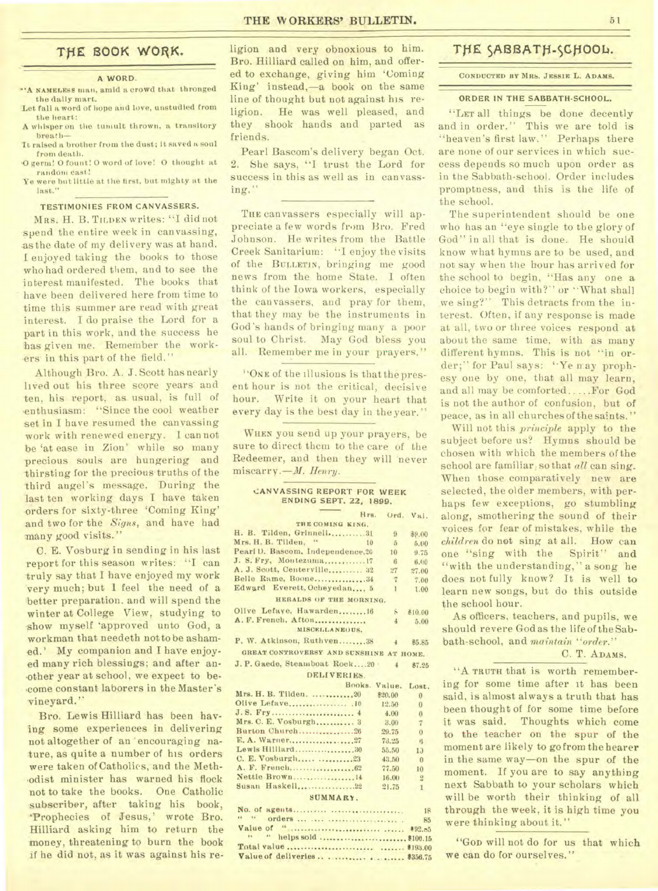# **TfiE 1300K WORK.**

## A WORD.

- •'A NAMELESS man, amid a crowd that thronged the daily mart. Let fall a word of hope and love, unstudied from
- the heart:
- A whisper on the tumult thrown, a transitory breath-
- It raised a brother from the dust; it saved a soul from death.
- -0 germ! 0 fount! 0 word of love! 0 thought at random cast!
- Ye were but little at the first, but mighty at the last."

#### TESTIMONIES FROM CANVASSERS.

MRS. H. B. TILDEN writes: "I did not spend the entire week in canvassing, as the date of my delivery was at hand. I enjoyed taking the books to those who had ordered them, and to see the interest manifested. The books that have been delivered here from time to time this summer are read with great interest. I do praise the Lord for a part in this work, and the success he has given me. Remember the workers in this part of the field."

Although Bro. A. *J.* Scott has nearly lived out his three score years and ten, his. report, as usual, is full of enthusiasm: "Since the cool weather set in I have resumed the canvassing work with renewed energy. I cannot be 'at ease in Zion' while so many precious souls are hungering and thirsting for the precious truths of the third angel's message; During the last ten working days I have taken orders for sixty-three 'Coming King' and two for the *Signs,* and have had many good visits."

C. E. Vosburg in sending in his last report for this season writes: "I can truly say that I have enjoyed my work very much; but 1 feel the need of a better preparation. and will spend the winter at College View, studying to show myself 'approved unto God, a workman that needeth not to be ashamed.' My companion and I have enjoyed many rich blessings; and after another year at school, we expect to be- .come constant laborers in the Master's vineyard."

Bro. Lewis Hilliard has been having some experiences in delivering not altogether of an ' encouraging nature, as quite a number of his orders were taken of Catholics, and the Methodist minister has warned his flock not to take the books. One Catholic subscriber, after taking his book, Prophecies of Jesus,' wrote Bro. Hilliard asking him to return the money, threatening to burn the book if he did not, as it was against his re-

ligion and very obnoxious to him. Bro. Hilliard called on him, and offered to exchange, giving him 'Coming King' instead,-a book on the same line of thought but not against his religion. He was well pleased, and they shook hands and parted as friends.

Pearl Bascom's delivery began Oct. 2. She says, "I trust the Lord for success in this as well as in canvassing."

THE canvassers especially will appreciate a few words from Bro. Fred Johnson. He writes from the Battle Creek Sanitarium: "I enjoy the visits of the BULLETIN, bringing me good news from the home State. I often think of the Iowa workers, especially the canvassers, and pray for them, that they may be the instruments in God's hands of bringing many a poor soul to Christ. May God bless you all. Remember me in your prayers."

"ONE of the illusions is that the present hour is not the critical, decisive hour. Write it on your heart that every day is the best day in the year."

WHEN you send up your prayers, be sure to direct them to the care of the Redeemer, and then they will 'never miscarry.-*M. Henry.* 

#### CANVASSING REPORT FOR WEEK ENDING SEPT. 22, 1899.

| Hrs.                                    |                | Ord. Val.      |  |
|-----------------------------------------|----------------|----------------|--|
| THE COMING KING.                        |                |                |  |
| H. B. Tilden, Grinnell31                | $\overline{9}$ | \$9.00         |  |
| Mrs. H. B. Tilden,<br>$+4$<br>10        | $\sqrt{5}$     | 5,00           |  |
| Pearl D. Bascom, Independence, 20       | 10             | 9.75           |  |
| J. S. Fry, Montezuma17                  | $-6$           | 6.00           |  |
| A. J. Scott, Centerville 32             | 27             | 27.00          |  |
| Belle Rame, Boone34                     | $\overline{7}$ | 7.00           |  |
| Edward Everett, Ocheyedan 5             | $\mathbf{I}$   | 1.00           |  |
| HERALDS OF THE MORNING.                 |                |                |  |
| Olive Lefaye, Hawarden16                | Б              | ₹10.00         |  |
| A. F. French, Afton                     | 4              | 5.00           |  |
| MISCELLANEOUS.                          |                |                |  |
| P. W. Atkinson, Ruthven38               | 4              | 85.85          |  |
| GREAT CONTROVERSY AND SUNSHINE AT HOME. |                |                |  |
| J. P. Gaede, Steamboat Rock20           | $\overline{4}$ | 87.25          |  |
| <b>DELIVERIES</b>                       |                |                |  |
| Books. Value.                           |                | Lost.          |  |
| Mrs. H. B. Tilden. 20                   | \$20.00        | $\bf{0}$       |  |
|                                         | 12.50          | $\bf{0}$       |  |
|                                         | 4.00           | $\bf{0}$       |  |
| Mrs. C. E. Vosburgh 3                   | 3.00           | $\overline{7}$ |  |
| Burton Church26                         | 29.75          | $\Omega$       |  |
|                                         | 73.25          | 6              |  |
| Lewis Hilliard 30                       | 55.50          | 1.3            |  |
| C. E. Vosburgh 23                       | 43.50          | $\theta$       |  |
|                                         | 77.50          | 10             |  |
| Nettie Brown14                          | 16.00          | $\frac{1}{2}$  |  |
| Susan Haskell, 22                       | 21.75          | $\mathbf{1}$   |  |
| SUMMARY.                                |                |                |  |

|  | 18 |
|--|----|
|  | 85 |
|  |    |
|  |    |
|  |    |
|  |    |

# THE SABBATH-SCHOOL.

### CONDUCTED BY MRS. JESSIE L. ADAMS.

#### ORDER IN THE SABBATH-SCHOOL.

"LET all things be done decently and in order." This we are told is "heaven's first law." Perhaps there are none of our services in which success depends so much upon order as in the Sabbath-school. Order includes promptness, and this is the life of the school.

The superintendent should be one who has an "eye single to the glory of God" in all that is done. He should know what hymns are to be used, and not say when the hour has arrived for the school to begin, "Has any one a choice to begin with?" or "What shall we sing?" This detracts from the interest. Often, if any response is made at all, two or three voices respond at about the same time, with as many different hymns. This is not "in order;" for Paul says: "Ye nay prophesy one by one, that all may learn, and all may be comforted ..... For God is not the author of confusion, but of peace, as in all churches of the saints."

Will not this *principle* apply to the subject before us? Hymns should be chosen with which the members of the school are familiar, so that *all* can sing. When those comparatively new are selected, the older members, with perhaps few exceptions, go stumbling along, smothering the sound of their voices for fear of mistakes, while the *children* do not sing at all. How can<br>one "sing with the Spirit" and one "sing with the "with the understanding," a song he does not fully know? It is well to learn *new* songs, but do this outside the school hour.

As officers, teachers, and pupils, we should revere God as the life of the Sabbath-school, and *maintain "order."* 

# C. T. ADAMS.

"A TRUTH that is worth remembering for some time after it has been said, is almost always a truth that has been thought of for some time before it was said. Thoughts which come to the teacher on the spur of the moment are likely to go from the hearer in the same way-on the spur of the moment. If you are to say anything next Sabbath to your scholars which will be worth their thinking of all through the week, it is high time you were thinking about it."

"Gob will not do for us that which we can do for ourselves."